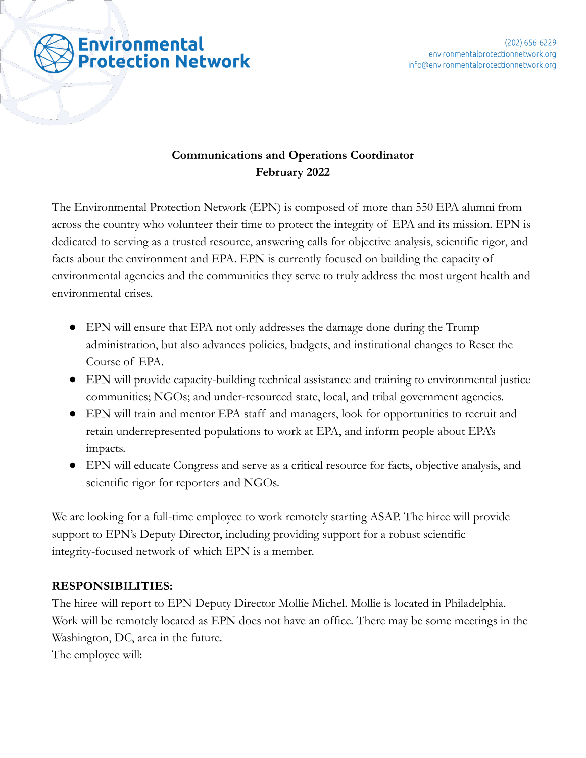

# **Communications and Operations Coordinator February 2022**

The Environmental Protection Network (EPN) is composed of more than 550 EPA alumni from across the country who volunteer their time to protect the integrity of EPA and its mission. EPN is dedicated to serving as a trusted resource, answering calls for objective analysis, scientific rigor, and facts about the environment and EPA. EPN is currently focused on building the capacity of environmental agencies and the communities they serve to truly address the most urgent health and environmental crises.

- EPN will ensure that EPA not only addresses the damage done during the Trump administration, but also advances policies, budgets, and institutional changes to Reset the Course of EPA.
- EPN will provide capacity-building technical assistance and training to environmental justice communities; NGOs; and under-resourced state, local, and tribal government agencies.
- EPN will train and mentor EPA staff and managers, look for opportunities to recruit and retain underrepresented populations to work at EPA, and inform people about EPA's impacts.
- EPN will educate Congress and serve as a critical resource for facts, objective analysis, and scientific rigor for reporters and NGOs.

We are looking for a full-time employee to work remotely starting ASAP. The hiree will provide support to EPN's Deputy Director, including providing support for a robust scientific integrity-focused network of which EPN is a member.

## **RESPONSIBILITIES:**

The hiree will report to EPN Deputy Director Mollie Michel. Mollie is located in Philadelphia. Work will be remotely located as EPN does not have an office. There may be some meetings in the Washington, DC, area in the future.

The employee will: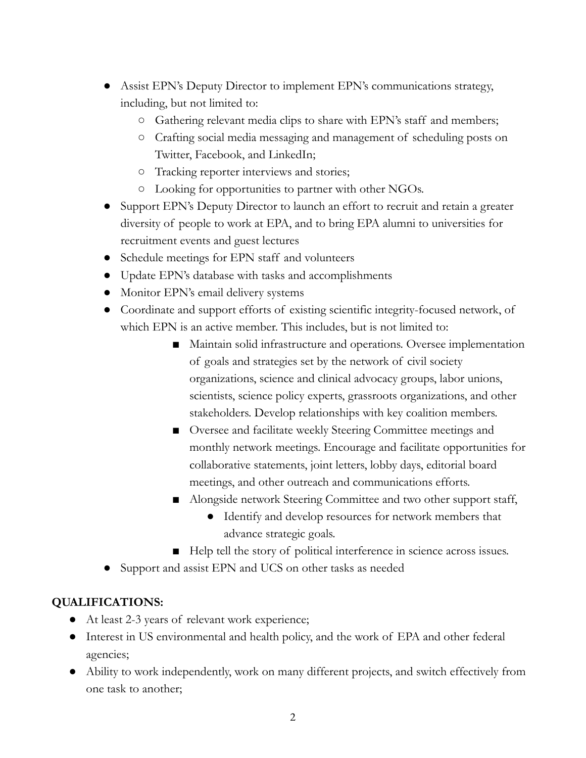- Assist EPN's Deputy Director to implement EPN's communications strategy, including, but not limited to:
	- Gathering relevant media clips to share with EPN's staff and members;
	- Crafting social media messaging and management of scheduling posts on Twitter, Facebook, and LinkedIn;
	- Tracking reporter interviews and stories;
	- Looking for opportunities to partner with other NGOs.
- Support EPN's Deputy Director to launch an effort to recruit and retain a greater diversity of people to work at EPA, and to bring EPA alumni to universities for recruitment events and guest lectures
- Schedule meetings for EPN staff and volunteers
- Update EPN's database with tasks and accomplishments
- Monitor EPN's email delivery systems
- Coordinate and support efforts of existing scientific integrity-focused network, of which EPN is an active member. This includes, but is not limited to:
	- Maintain solid infrastructure and operations. Oversee implementation of goals and strategies set by the network of civil society organizations, science and clinical advocacy groups, labor unions, scientists, science policy experts, grassroots organizations, and other stakeholders. Develop relationships with key coalition members.
	- Oversee and facilitate weekly Steering Committee meetings and monthly network meetings. Encourage and facilitate opportunities for collaborative statements, joint letters, lobby days, editorial board meetings, and other outreach and communications efforts.
	- Alongside network Steering Committee and two other support staff,
		- Identify and develop resources for network members that advance strategic goals.
	- Help tell the story of political interference in science across issues.
- Support and assist EPN and UCS on other tasks as needed

## **QUALIFICATIONS:**

- At least 2-3 years of relevant work experience;
- Interest in US environmental and health policy, and the work of EPA and other federal agencies;
- Ability to work independently, work on many different projects, and switch effectively from one task to another;